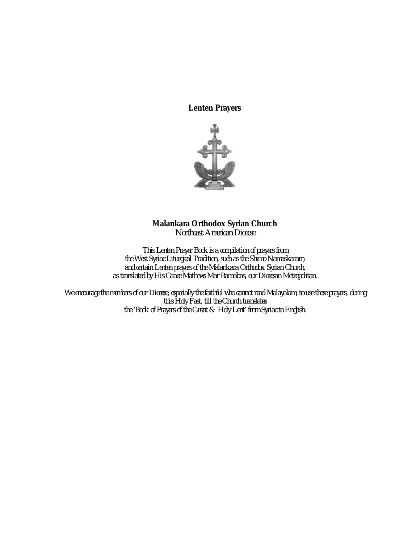**Lenten Prayers**



# **Malankara Orthodox Syrian Church**

*Northeast American Diocese*

*This Lenten Prayer Book is a compilation of prayers from the West Syriac Liturgical Tradition, such as the Shimo Namaskaram, and certain Lenten prayers of the Malankara Orthodox Syrian Church, as translated by His Grace Mathews Mar Barnabas, our Diocesan Metropolitan.*

*We encourage the members of our Diocese, especially the faithful who cannot read Malayalam, to use these prayers, during this Holy Fast, till the Church translates the 'Book of Prayers of the Great & Holy Lent' from Syriac to English.*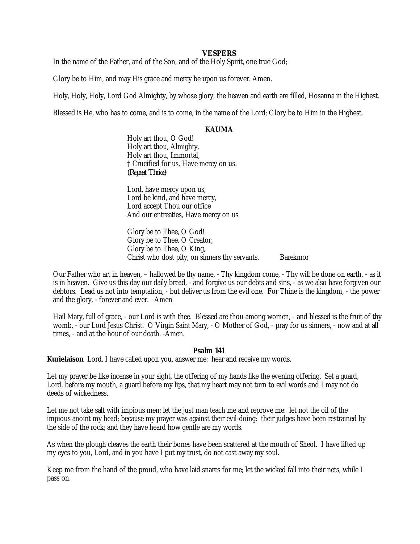# **VESPERS**

In the name of the Father, and of the Son, and of the Holy Spirit, one true God;

Glory be to Him, and may His grace and mercy be upon us forever. Amen*.*

Holy, Holy, Holy, Lord God Almighty, by whose glory, the heaven and earth are filled, Hosanna in the Highest.

Blessed is He, who has to come, and is to come, in the name of the Lord; Glory be to Him in the Highest.

# **KAUMA**

Holy art thou, O God! Holy art thou, Almighty, Holy art thou, Immortal, † Crucified for us, Have mercy on us. *(Repeat Thrice)*

Lord, have mercy upon us, Lord be kind, and have mercy, Lord accept Thou our office And our entreaties, Have mercy on us.

Glory be to Thee, O God! Glory be to Thee, O Creator, Glory be to Thee, O King, Christ who dost pity, on sinners thy servants. Barekmor

Our Father who art in heaven, – hallowed be thy name, - Thy kingdom come, - Thy will be done on earth, - as it is in heaven. Give us this day our daily bread, - and forgive us our debts and sins, - as we also have forgiven our debtors. Lead us not into temptation, - but deliver us from the evil one. For Thine is the kingdom, - the power and the glory, - forever and ever. *–*Amen

Hail Mary, full of grace, - our Lord is with thee. Blessed are thou among women, - and blessed is the fruit of thy womb, - our Lord Jesus Christ. O Virgin Saint Mary, - O Mother of God, - pray for us sinners, - now and at all times, - and at the hour of our death. -Amen.

#### **Psalm 141**

**Kurielaison** Lord, I have called upon you, answer me: hear and receive my words.

Let my prayer be like incense in your sight, the offering of my hands like the evening offering. Set a guard, Lord, before my mouth, a guard before my lips, that my heart may not turn to evil words and I may not do deeds of wickedness.

Let me not take salt with impious men; let the just man teach me and reprove me: let not the oil of the impious anoint my head; because my prayer was against their evil-doing: their judges have been restrained by the side of the rock; and they have heard how gentle are my words.

As when the plough cleaves the earth their bones have been scattered at the mouth of Sheol. I have lifted up my eyes to you, Lord, and in you have I put my trust, do not cast away my soul.

Keep me from the hand of the proud, who have laid snares for me; let the wicked fall into their nets, while I pass on.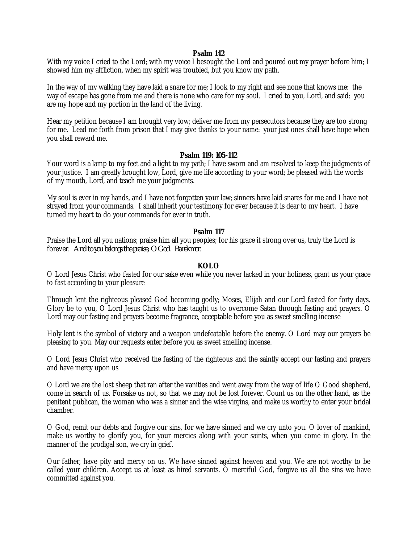## **Psalm 142**

With my voice I cried to the Lord; with my voice I besought the Lord and poured out my prayer before him; I showed him my affliction, when my spirit was troubled, but you know my path.

In the way of my walking they have laid a snare for me; I look to my right and see none that knows me: the way of escape has gone from me and there is none who care for my soul. I cried to you, Lord, and said: you are my hope and my portion in the land of the living.

Hear my petition because I am brought very low; deliver me from my persecutors because they are too strong for me. Lead me forth from prison that I may give thanks to your name: your just ones shall have hope when you shall reward me.

#### **Psalm 119: 105-112**

Your word is a lamp to my feet and a light to my path; I have sworn and am resolved to keep the judgments of your justice. I am greatly brought low, Lord, give me life according to your word; be pleased with the words of my mouth, Lord, and teach me your judgments.

My soul is ever in my hands, and I have not forgotten your law; sinners have laid snares for me and I have not strayed from your commands. I shall inherit your testimony for ever because it is dear to my heart. I have turned my heart to do your commands for ever in truth.

# **Psalm 117**

Praise the Lord all you nations; praise him all you peoples; for his grace it strong over us, truly the Lord is forever. *And to you belongs the praise, O God. Barekmor.* 

# **KOLO**

O Lord Jesus Christ who fasted for our sake even while you never lacked in your holiness, grant us your grace to fast according to your pleasure

Through lent the righteous pleased God becoming godly; Moses, Elijah and our Lord fasted for forty days. Glory be to you, O Lord Jesus Christ who has taught us to overcome Satan through fasting and prayers. O Lord may our fasting and prayers become fragrance, acceptable before you as sweet smelling incense

Holy lent is the symbol of victory and a weapon undefeatable before the enemy. O Lord may our prayers be pleasing to you. May our requests enter before you as sweet smelling incense.

O Lord Jesus Christ who received the fasting of the righteous and the saintly accept our fasting and prayers and have mercy upon us

O Lord we are the lost sheep that ran after the vanities and went away from the way of life O Good shepherd, come in search of us. Forsake us not, so that we may not be lost forever. Count us on the other hand, as the penitent publican, the woman who was a sinner and the wise virgins, and make us worthy to enter your bridal chamber.

O God, remit our debts and forgive our sins, for we have sinned and we cry unto you. O lover of mankind, make us worthy to glorify you, for your mercies along with your saints, when you come in glory. In the manner of the prodigal son, we cry in grief.

Our father, have pity and mercy on us. We have sinned against heaven and you. We are not worthy to be called your children. Accept us at least as hired servants. O merciful God, forgive us all the sins we have committed against you.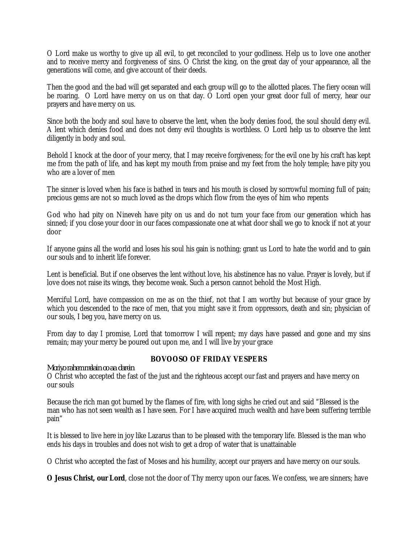O Lord make us worthy to give up all evil, to get reconciled to your godliness. Help us to love one another and to receive mercy and forgiveness of sins. O Christ the king, on the great day of your appearance, all the generations will come, and give account of their deeds.

Then the good and the bad will get separated and each group will go to the allotted places. The fiery ocean will be roaring. O Lord have mercy on us on that day. O Lord open your great door full of mercy, hear our prayers and have mercy on us.

Since both the body and soul have to observe the lent, when the body denies food, the soul should deny evil. A lent which denies food and does not deny evil thoughts is worthless. O Lord help us to observe the lent diligently in body and soul.

Behold I knock at the door of your mercy, that I may receive forgiveness; for the evil one by his craft has kept me from the path of life, and has kept my mouth from praise and my feet from the holy temple; have pity you who are a lover of men

The sinner is loved when his face is bathed in tears and his mouth is closed by sorrowful morning full of pain; precious gems are not so much loved as the drops which flow from the eyes of him who repents

God who had pity on Nineveh have pity on us and do not turn your face from our generation which has sinned; if you close your door in our faces compassionate one at what door shall we go to knock if not at your door

If anyone gains all the world and loses his soul his gain is nothing; grant us Lord to hate the world and to gain our souls and to inherit life forever.

Lent is beneficial. But if one observes the lent without love, his abstinence has no value. Prayer is lovely, but if love does not raise its wings, they become weak. Such a person cannot behold the Most High.

Merciful Lord, have compassion on me as on the thief, not that I am worthy but because of your grace by which you descended to the race of men, that you might save it from oppressors, death and sin; physician of our souls, I beg you, have mercy on us.

From day to day I promise, Lord that tomorrow I will repent; my days have passed and gone and my sins remain; may your mercy be poured out upon me, and I will live by your grace

# *Moriyo rahem melain oo aa darein*

# **BOVOOSO OF FRIDAY VESPERS**

O Christ who accepted the fast of the just and the righteous accept our fast and prayers and have mercy on our souls

Because the rich man got burned by the flames of fire, with long sighs he cried out and said "Blessed is the man who has not seen wealth as I have seen. For I have acquired much wealth and have been suffering terrible pain"

It is blessed to live here in joy like Lazarus than to be pleased with the temporary life. Blessed is the man who ends his days in troubles and does not wish to get a drop of water that is unattainable

O Christ who accepted the fast of Moses and his humility, accept our prayers and have mercy on our souls.

**O Jesus Christ, our Lord**, close not the door of Thy mercy upon our faces. We confess, we are sinners; have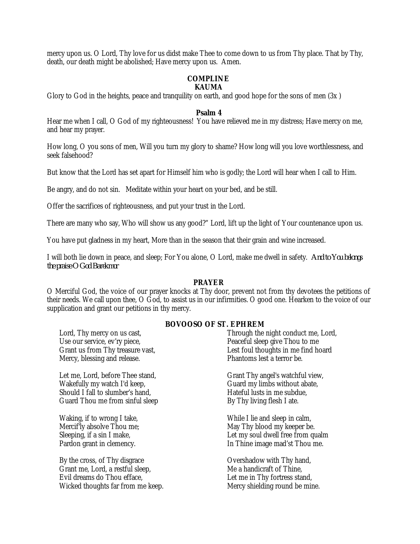mercy upon us. O Lord, Thy love for us didst make Thee to come down to us from Thy place. That by Thy, death, our death might be abolished; Have mercy upon us. Amen.

# **COMPLINE KAUMA**

Glory to God in the heights, peace and tranquility on earth, and good hope for the sons of men (3x )

# **Psalm 4**

Hear me when I call, O God of my righteousness! You have relieved me in my distress; Have mercy on me, and hear my prayer.

How long, O you sons of men, Will you turn my glory to shame? How long will you love worthlessness, and seek falsehood?

But know that the Lord has set apart for Himself him who is godly; the Lord will hear when I call to Him.

Be angry, and do not sin. Meditate within your heart on your bed, and be still.

Offer the sacrifices of righteousness, and put your trust in the Lord.

There are many who say, Who will show us any good?" Lord, lift up the light of Your countenance upon us.

You have put gladness in my heart, More than in the season that their grain and wine increased.

I will both lie down in peace, and sleep; For You alone, O Lord, make me dwell in safety. *And to You belongs the praise O God Barekmor*

# **PRAYER**

O Merciful God, the voice of our prayer knocks at Thy door, prevent not from thy devotees the petitions of their needs. We call upon thee, O God, to assist us in our infirmities. O good one. Hearken to the voice of our supplication and grant our petitions in thy mercy.

# **BOVOOSO OF ST. EPHREM**

Lord, Thy mercy on us cast, Use our service, ev'ry piece, Grant us from Thy treasure vast, Mercy, blessing and release.

Let me, Lord, before Thee stand, Wakefully my watch I'd keep, Should I fall to slumber's hand, Guard Thou me from sinful sleep

Waking, if to wrong I take, Mercif'ly absolve Thou me; Sleeping, if a sin I make, Pardon grant in clemency.

By the cross, of Thy disgrace Grant me, Lord, a restful sleep, Evil dreams do Thou efface, Wicked thoughts far from me keep. Through the night conduct me, Lord, Peaceful sleep give Thou to me Lest foul thoughts in me find hoard Phantoms lest a terror be.

Grant Thy angel's watchful view, Guard my limbs without abate, Hateful lusts in me subdue, By Thy living flesh I ate.

While I lie and sleep in calm, May Thy blood my keeper be. Let my soul dwell free from qualm In Thine image mad'st Thou me.

Overshadow with Thy hand, Me a handicraft of Thine, Let me in Thy fortress stand, Mercy shielding round be mine.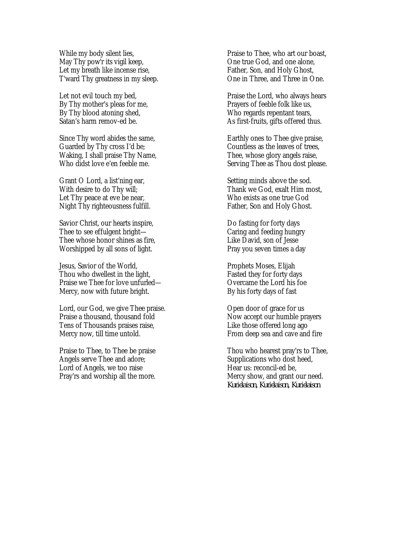While my body silent lies, May Thy pow'r its vigil keep, Let my breath like incense rise, T'ward Thy greatness in my sleep.

Let not evil touch my bed, By Thy mother's pleas for me, By Thy blood atoning shed, Satan's harm remov-ed be.

Since Thy word abides the same, Guarded by Thy cross I'd be; Waking, I shall praise Thy Name, Who didst love e'en feeble me.

Grant O Lord, a list'ning ear, With desire to do Thy will; Let Thy peace at eve be near, Night Thy righteousness fulfill.

Savior Christ, our hearts inspire, Thee to see effulgent bright-Thee whose honor shines as fire, Worshipped by all sons of light.

Jesus, Savior of the World, Thou who dwellest in the light, Praise we Thee for love unfurled— Mercy, now with future bright.

Lord, our God, we give Thee praise. Praise a thousand, thousand fold Tens of Thousands praises raise, Mercy now, till time untold.

Praise to Thee, to Thee be praise Angels serve Thee and adore; Lord of Angels, we too raise Pray'rs and worship all the more.

Praise to Thee, who art our boast, One true God, and one alone, Father, Son, and Holy Ghost, One in Three, and Three in One.

Praise the Lord, who always hears Prayers of feeble folk like us, Who regards repentant tears, As first-fruits, gifts offered thus.

Earthly ones to Thee give praise, Countless as the leaves of trees, Thee, whose glory angels raise, Serving Thee as Thou dost please.

Setting minds above the sod. Thank we God, exalt Him most, Who exists as one true God Father, Son and Holy Ghost.

Do fasting for forty days Caring and feeding hungry Like David, son of Jesse Pray you seven times a day

Prophets Moses, Elijah Fasted they for forty days Overcame the Lord his foe By his forty days of fast

Open door of grace for us Now accept our humble prayers Like those offered long ago From deep sea and cave and fire

Thou who hearest pray'rs to Thee, Supplications who dost heed, Hear us: reconcil-ed be, Mercy show, and grant our need. *Kurielaison, Kurielaison, Kurielaison*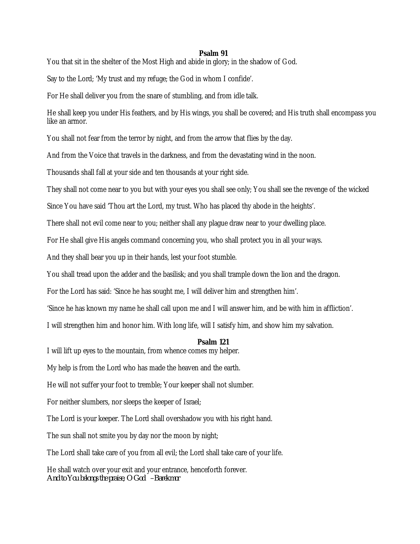# **Psalm 91**

You that sit in the shelter of the Most High and abide in glory; in the shadow of God.

Say to the Lord; 'My trust and my refuge; the God in whom I confide'.

For He shall deliver you from the snare of stumbling, and from idle talk.

He shall keep you under His feathers, and by His wings, you shall be covered; and His truth shall encompass you like an armor.

You shall not fear from the terror by night, and from the arrow that flies by the day.

And from the Voice that travels in the darkness, and from the devastating wind in the noon.

Thousands shall fall at your side and ten thousands at your right side.

They shall not come near to you but with your eyes you shall see only; You shall see the revenge of the wicked

Since You have said 'Thou art the Lord, my trust. Who has placed thy abode in the heights'.

There shall not evil come near to you; neither shall any plague draw near to your dwelling place.

For He shall give His angels command concerning you, who shall protect you in all your ways.

And they shall bear you up in their hands, lest your foot stumble.

You shall tread upon the adder and the basilisk; and you shall trample down the lion and the dragon.

For the Lord has said: 'Since he has sought me, I will deliver him and strengthen him'.

'Since he has known my name he shall call upon me and I will answer him, and be with him in affliction'.

I will strengthen him and honor him. With long life, will I satisfy him, and show him my salvation.

#### **Psalm 121**

I will lift up eyes to the mountain, from whence comes my helper.

My help is from the Lord who has made the heaven and the earth.

He will not suffer your foot to tremble; Your keeper shall not slumber.

For neither slumbers, nor sleeps the keeper of Israel;

The Lord is your keeper. The Lord shall overshadow you with his right hand.

The sun shall not smite you by day nor the moon by night;

The Lord shall take care of you from all evil; the Lord shall take care of your life.

He shall watch over your exit and your entrance, henceforth forever. *And to You belongs the praise, O God –Barekmor*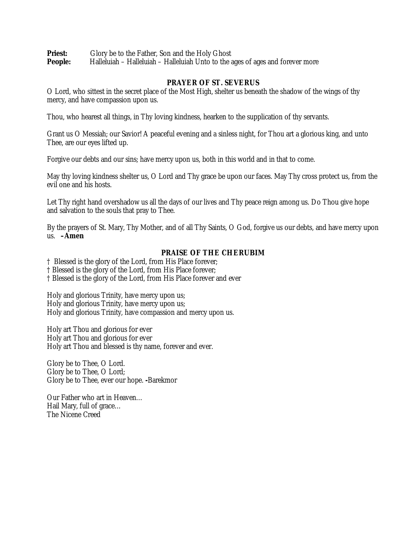**Priest:** Glory be to the Father, Son and the Holy Ghost<br>**People:** Halleluiah – Halleluiah – Halleluiah Unto to the a Halleluiah – Halleluiah – Halleluiah Unto to the ages of ages and forever more

# **PRAYER OF ST. SEVERUS**

O Lord, who sittest in the secret place of the Most High, shelter us beneath the shadow of the wings of thy mercy, and have compassion upon us.

Thou, who hearest all things, in Thy loving kindness, hearken to the supplication of thy servants.

Grant us O Messiah; our Savior! A peaceful evening and a sinless night, for Thou art a glorious king, and unto Thee, are our eyes lifted up.

Forgive our debts and our sins; have mercy upon us, both in this world and in that to come.

May thy loving kindness shelter us, O Lord and Thy grace be upon our faces. May Thy cross protect us, from the evil one and his hosts.

Let Thy right hand overshadow us all the days of our lives and Thy peace reign among us. Do Thou give hope and salvation to the souls that pray to Thee.

By the prayers of St. Mary, Thy Mother, and of all Thy Saints, O God, forgive us our debts, and have mercy upon us. **–Amen**

# **PRAISE OF THE CHERUBIM**

† Blessed is the glory of the Lord, from His Place forever;

† Blessed is the glory of the Lord, from His Place forever;

† Blessed is the glory of the Lord, from His Place forever and ever

Holy and glorious Trinity, have mercy upon us; Holy and glorious Trinity, have mercy upon us; Holy and glorious Trinity, have compassion and mercy upon us.

Holy art Thou and glorious for ever Holy art Thou and glorious for ever Holy art Thou and blessed is thy name, forever and ever.

Glory be to Thee, O Lord. Glory be to Thee, O Lord; Glory be to Thee, ever our hope. **-**Barekmor

Our Father who art in Heaven… Hail Mary, full of grace… The Nicene Creed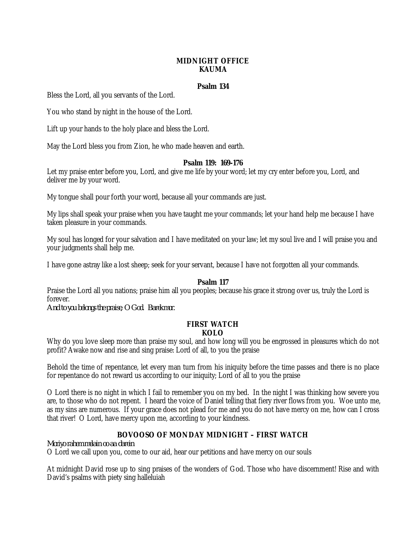# **MIDNIGHT OFFICE KAUMA**

# **Psalm 134**

Bless the Lord, all you servants of the Lord.

You who stand by night in the house of the Lord.

Lift up your hands to the holy place and bless the Lord.

May the Lord bless you from Zion, he who made heaven and earth.

# **Psalm 119: 169-176**

Let my praise enter before you, Lord, and give me life by your word; let my cry enter before you, Lord, and deliver me by your word.

My tongue shall pour forth your word, because all your commands are just.

My lips shall speak your praise when you have taught me your commands; let your hand help me because I have taken pleasure in your commands.

My soul has longed for your salvation and I have meditated on your law; let my soul live and I will praise you and your judgments shall help me.

I have gone astray like a lost sheep; seek for your servant, because I have not forgotten all your commands.

# **Psalm 117**

Praise the Lord all you nations; praise him all you peoples; because his grace it strong over us, truly the Lord is forever.

*And to you belongs the praise, O God. Barekmor.* 

#### **FIRST WATCH KOLO**

Why do you love sleep more than praise my soul, and how long will you be engrossed in pleasures which do not profit? Awake now and rise and sing praise: Lord of all, to you the praise

Behold the time of repentance, let every man turn from his iniquity before the time passes and there is no place for repentance do not reward us according to our iniquity; Lord of all to you the praise

O Lord there is no night in which I fail to remember you on my bed. In the night I was thinking how severe you are, to those who do not repent. I heard the voice of Daniel telling that fiery river flows from you. Woe unto me, as my sins are numerous. If your grace does not plead for me and you do not have mercy on me, how can I cross that river! O Lord, have mercy upon me, according to your kindness.

# **BOVOOSO OF MONDAY MIDNIGHT – FIRST WATCH**

*Moriyo rahem melain oo aa darein*

O Lord we call upon you, come to our aid, hear our petitions and have mercy on our souls

At midnight David rose up to sing praises of the wonders of God. Those who have discernment! Rise and with David's psalms with piety sing halleluiah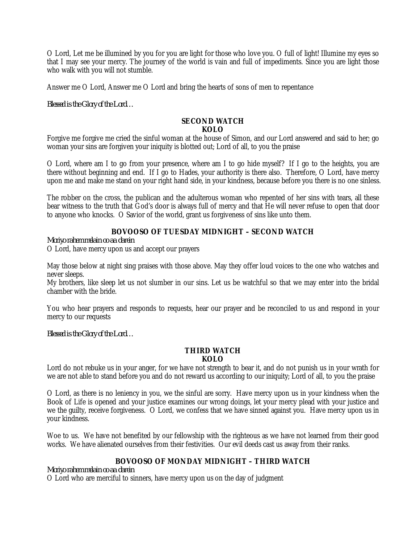O Lord, Let me be illumined by you for you are light for those who love you. O full of light! Illumine my eyes so that I may see your mercy. The journey of the world is vain and full of impediments. Since you are light those who walk with you will not stumble.

Answer me O Lord, Answer me O Lord and bring the hearts of sons of men to repentance

*Blessed is the Glory of the Lord…*

#### **SECOND WATCH KOLO**

Forgive me forgive me cried the sinful woman at the house of Simon, and our Lord answered and said to her; go woman your sins are forgiven your iniquity is blotted out; Lord of all, to you the praise

O Lord, where am I to go from your presence, where am I to go hide myself? If I go to the heights, you are there without beginning and end. If I go to Hades, your authority is there also. Therefore, O Lord, have mercy upon me and make me stand on your right hand side, in your kindness, because before you there is no one sinless.

The robber on the cross, the publican and the adulterous woman who repented of her sins with tears, all these bear witness to the truth that God's door is always full of mercy and that He will never refuse to open that door to anyone who knocks. O Savior of the world, grant us forgiveness of sins like unto them.

# **BOVOOSO OF TUESDAY MIDNIGHT – SECOND WATCH**

*Moriyo rahem melain oo aa darein*

O Lord, have mercy upon us and accept our prayers

May those below at night sing praises with those above. May they offer loud voices to the one who watches and never sleeps.

My brothers, like sleep let us not slumber in our sins. Let us be watchful so that we may enter into the bridal chamber with the bride.

You who hear prayers and responds to requests, hear our prayer and be reconciled to us and respond in your mercy to our requests

*Blessed is the Glory of the Lord…*

#### **THIRD WATCH KOLO**

Lord do not rebuke us in your anger, for we have not strength to bear it, and do not punish us in your wrath for we are not able to stand before you and do not reward us according to our iniquity; Lord of all, to you the praise

O Lord, as there is no leniency in you, we the sinful are sorry. Have mercy upon us in your kindness when the Book of Life is opened and your justice examines our wrong doings, let your mercy plead with your justice and we the guilty, receive forgiveness. O Lord, we confess that we have sinned against you. Have mercy upon us in your kindness.

Woe to us. We have not benefited by our fellowship with the righteous as we have not learned from their good works. We have alienated ourselves from their festivities. Our evil deeds cast us away from their ranks.

# **BOVOOSO OF MONDAY MIDNIGHT – THIRD WATCH**

*Moriyo rahem melain oo aa darein*

O Lord who are merciful to sinners, have mercy upon us on the day of judgment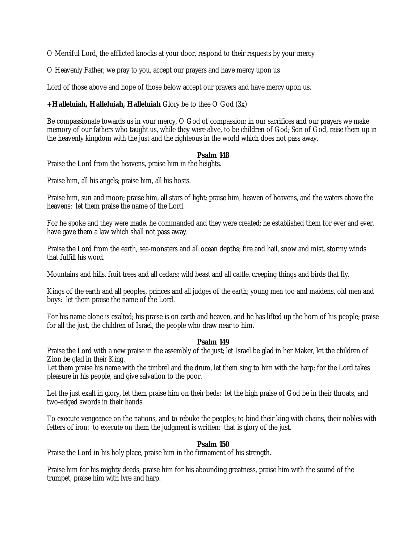O Merciful Lord, the afflicted knocks at your door, respond to their requests by your mercy

O Heavenly Father, we pray to you, accept our prayers and have mercy upon us

Lord of those above and hope of those below accept our prayers and have mercy upon us.

# **+Halleluiah, Halleluiah, Halleluiah** Glory be to thee O God (3x)

Be compassionate towards us in your mercy, O God of compassion; in our sacrifices and our prayers we make memory of our fathers who taught us, while they were alive, to be children of God; Son of God, raise them up in the heavenly kingdom with the just and the righteous in the world which does not pass away.

# **Psalm 148**

Praise the Lord from the heavens, praise him in the heights.

Praise him, all his angels; praise him, all his hosts.

Praise him, sun and moon; praise him, all stars of light; praise him, heaven of heavens, and the waters above the heavens: let them praise the name of the Lord.

For he spoke and they were made, he commanded and they were created; he established them for ever and ever, have gave them a law which shall not pass away.

Praise the Lord from the earth, sea-monsters and all ocean depths; fire and hail, snow and mist, stormy winds that fulfill his word.

Mountains and hills, fruit trees and all cedars; wild beast and all cattle, creeping things and birds that fly.

Kings of the earth and all peoples, princes and all judges of the earth; young men too and maidens, old men and boys: let them praise the name of the Lord.

For his name alone is exalted; his praise is on earth and heaven, and he has lifted up the horn of his people; praise for all the just, the children of Israel, the people who draw near to him.

# **Psalm 149**

Praise the Lord with a new praise in the assembly of the just; let Israel be glad in her Maker, let the children of Zion be glad in their King.

Let them praise his name with the timbrel and the drum, let them sing to him with the harp; for the Lord takes pleasure in his people, and give salvation to the poor.

Let the just exalt in glory, let them praise him on their beds: let the high praise of God be in their throats, and two-edged swords in their hands.

To execute vengeance on the nations, and to rebuke the peoples; to bind their king with chains, their nobles with fetters of iron: to execute on them the judgment is written: that is glory of the just.

# **Psalm 150**

Praise the Lord in his holy place, praise him in the firmament of his strength.

Praise him for his mighty deeds, praise him for his abounding greatness, praise him with the sound of the trumpet, praise him with lyre and harp.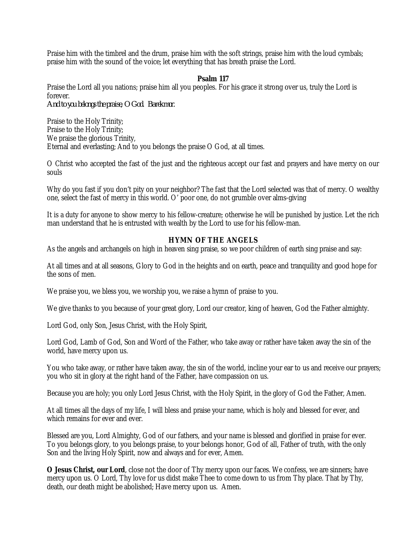Praise him with the timbrel and the drum, praise him with the soft strings, praise him with the loud cymbals; praise him with the sound of the voice; let everything that has breath praise the Lord.

#### **Psalm 117**

Praise the Lord all you nations; praise him all you peoples. For his grace it strong over us, truly the Lord is forever.

*And to you belongs the praise, O God. Barekmor.* 

Praise to the Holy Trinity; Praise to the Holy Trinity; We praise the glorious Trinity, Eternal and everlasting; And to you belongs the praise O God, at all times.

O Christ who accepted the fast of the just and the righteous accept our fast and prayers and have mercy on our souls

Why do you fast if you don't pity on your neighbor? The fast that the Lord selected was that of mercy. O wealthy one, select the fast of mercy in this world. O' poor one, do not grumble over alms-giving

It is a duty for anyone to show mercy to his fellow-creature; otherwise he will be punished by justice. Let the rich man understand that he is entrusted with wealth by the Lord to use for his fellow-man.

# **HYMN OF THE ANGELS**

As the angels and archangels on high in heaven sing praise, so we poor children of earth sing praise and say:

At all times and at all seasons, Glory to God in the heights and on earth, peace and tranquility and good hope for the sons of men.

We praise you, we bless you, we worship you, we raise a hymn of praise to you.

We give thanks to you because of your great glory, Lord our creator, king of heaven, God the Father almighty.

Lord God, only Son, Jesus Christ, with the Holy Spirit,

Lord God, Lamb of God, Son and Word of the Father, who take away or rather have taken away the sin of the world, have mercy upon us.

You who take away, or rather have taken away, the sin of the world, incline your ear to us and receive our prayers; you who sit in glory at the right hand of the Father, have compassion on us.

Because you are holy; you only Lord Jesus Christ, with the Holy Spirit, in the glory of God the Father, Amen.

At all times all the days of my life, I will bless and praise your name, which is holy and blessed for ever, and which remains for ever and ever.

Blessed are you, Lord Almighty, God of our fathers, and your name is blessed and glorified in praise for ever. To you belongs glory, to you belongs praise, to your belongs honor, God of all, Father of truth, with the only Son and the living Holy Spirit, now and always and for ever, Amen.

**O Jesus Christ, our Lord**, close not the door of Thy mercy upon our faces. We confess, we are sinners; have mercy upon us. O Lord, Thy love for us didst make Thee to come down to us from Thy place. That by Thy, death, our death might be abolished; Have mercy upon us. Amen.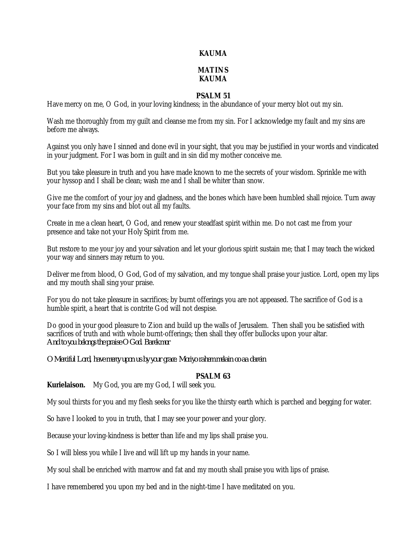## **KAUMA**

# **MATINS KAUMA**

# **PSALM 51**

Have mercy on me, O God, in your loving kindness; in the abundance of your mercy blot out my sin.

Wash me thoroughly from my guilt and cleanse me from my sin. For I acknowledge my fault and my sins are before me always.

Against you only have I sinned and done evil in your sight, that you may be justified in your words and vindicated in your judgment. For I was born in guilt and in sin did my mother conceive me.

But you take pleasure in truth and you have made known to me the secrets of your wisdom. Sprinkle me with your hyssop and I shall be clean; wash me and I shall be whiter than snow.

Give me the comfort of your joy and gladness, and the bones which have been humbled shall rejoice. Turn away your face from my sins and blot out all my faults.

Create in me a clean heart, O God, and renew your steadfast spirit within me. Do not cast me from your presence and take not your Holy Spirit from me.

But restore to me your joy and your salvation and let your glorious spirit sustain me; that I may teach the wicked your way and sinners may return to you.

Deliver me from blood, O God, God of my salvation, and my tongue shall praise your justice. Lord, open my lips and my mouth shall sing your praise.

For you do not take pleasure in sacrifices; by burnt offerings you are not appeased. The sacrifice of God is a humble spirit, a heart that is contrite God will not despise.

Do good in your good pleasure to Zion and build up the walls of Jerusalem. Then shall you be satisfied with sacrifices of truth and with whole burnt-offerings; then shall they offer bullocks upon your altar. *And to you belongs the praise O God. Barekmor* 

*O Merciful Lord, have mercy upon us by your grace. Moriyo rahem melain oo aa darein*

#### **PSALM 63**

**Kurielaison.** My God, you are my God, I will seek you.

My soul thirsts for you and my flesh seeks for you like the thirsty earth which is parched and begging for water.

So have I looked to you in truth, that I may see your power and your glory.

Because your loving-kindness is better than life and my lips shall praise you.

So I will bless you while I live and will lift up my hands in your name.

My soul shall be enriched with marrow and fat and my mouth shall praise you with lips of praise.

I have remembered you upon my bed and in the night-time I have meditated on you.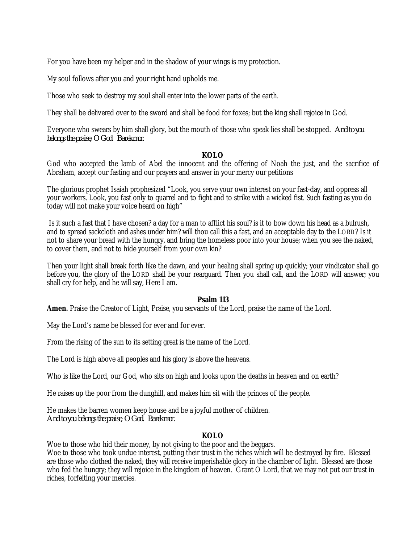For you have been my helper and in the shadow of your wings is my protection.

My soul follows after you and your right hand upholds me.

Those who seek to destroy my soul shall enter into the lower parts of the earth.

They shall be delivered over to the sword and shall be food for foxes; but the king shall rejoice in God.

Everyone who swears by him shall glory, but the mouth of those who speak lies shall be stopped. *And to you belongs the praise, O God. Barekmor.*

#### **KOLO**

God who accepted the lamb of Abel the innocent and the offering of Noah the just, and the sacrifice of Abraham, accept our fasting and our prayers and answer in your mercy our petitions

The glorious prophet Isaiah prophesized "Look, you serve your own interest on your fast-day, and oppress all your workers. Look, you fast only to quarrel and to fight and to strike with a wicked fist. Such fasting as you do today will not make your voice heard on high"

Is it such a fast that I have chosen? a day for a man to afflict his soul? is it to bow down his head as a bulrush, and to spread sackcloth and ashes under him? will thou call this a fast, and an acceptable day to the LORD? Is it not to share your bread with the hungry, and bring the homeless poor into your house; when you see the naked, to cover them, and not to hide yourself from your own kin?

Then your light shall break forth like the dawn, and your healing shall spring up quickly; your vindicator shall go before you, the glory of the LORD shall be your rearguard. Then you shall call, and the LORD will answer; you shall cry for help, and he will say, Here I am.

# **Psalm 113**

**Amen.** Praise the Creator of Light, Praise, you servants of the Lord, praise the name of the Lord.

May the Lord's name be blessed for ever and for ever.

From the rising of the sun to its setting great is the name of the Lord.

The Lord is high above all peoples and his glory is above the heavens.

Who is like the Lord, our God, who sits on high and looks upon the deaths in heaven and on earth?

He raises up the poor from the dunghill, and makes him sit with the princes of the people.

He makes the barren women keep house and be a joyful mother of children. *And to you belongs the praise, O God. Barekmor.* 

# **KOLO**

Woe to those who hid their money, by not giving to the poor and the beggars.

Woe to those who took undue interest, putting their trust in the riches which will be destroyed by fire. Blessed are those who clothed the naked; they will receive imperishable glory in the chamber of light. Blessed are those who fed the hungry; they will rejoice in the kingdom of heaven. Grant O Lord, that we may not put our trust in riches, forfeiting your mercies.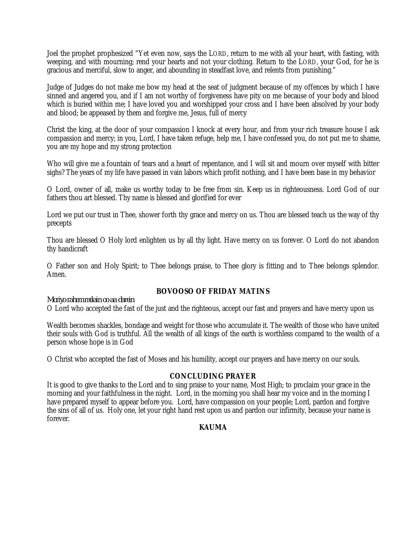Joel the prophet prophesized "Yet even now, says the LORD, return to me with all your heart, with fasting, with weeping, and with mourning; rend your hearts and not your clothing. Return to the LORD, your God, for he is gracious and merciful, slow to anger, and abounding in steadfast love, and relents from punishing."

Judge of Judges do not make me bow my head at the seat of judgment because of my offences by which I have sinned and angered you, and if I am not worthy of forgiveness have pity on me because of your body and blood which is buried within me; I have loved you and worshipped your cross and I have been absolved by your body and blood; be appeased by them and forgive me, Jesus, full of mercy

Christ the king, at the door of your compassion I knock at every hour, and from your rich treasure house I ask compassion and mercy; in you, Lord, I have taken refuge, help me, I have confessed you, do not put me to shame, you are my hope and my strong protection

Who will give me a fountain of tears and a heart of repentance, and I will sit and mourn over myself with bitter sighs? The years of my life have passed in vain labors which profit nothing, and I have been base in my behavior

O Lord, owner of all, make us worthy today to be free from sin. Keep us in righteousness. Lord God of our fathers thou art blessed. Thy name is blessed and glorified for ever

Lord we put our trust in Thee, shower forth thy grace and mercy on us. Thou are blessed teach us the way of thy precepts

Thou are blessed O Holy lord enlighten us by all thy light. Have mercy on us forever. O Lord do not abandon thy handicraft

O Father son and Holy Spirit; to Thee belongs praise, to Thee glory is fitting and to Thee belongs splendor. Amen.

# **BOVOOSO OF FRIDAY MATINS**

# *Moriyo rahem melain oo aa darein*

O Lord who accepted the fast of the just and the righteous, accept our fast and prayers and have mercy upon us

Wealth becomes shackles, bondage and weight for those who accumulate it. The wealth of those who have united their souls with God is truthful. All the wealth of all kings of the earth is worthless compared to the wealth of a person whose hope is in God

O Christ who accepted the fast of Moses and his humility, accept our prayers and have mercy on our souls.

# **CONCLUDING PRAYER**

It is good to give thanks to the Lord and to sing praise to your name, Most High; to proclaim your grace in the morning and your faithfulness in the night. Lord, in the morning you shall hear my voice and in the morning I have prepared myself to appear before you. Lord, have compassion on your people; Lord, pardon and forgive the sins of all of us. Holy one, let your right hand rest upon us and pardon our infirmity, because your name is forever.

# **KAUMA**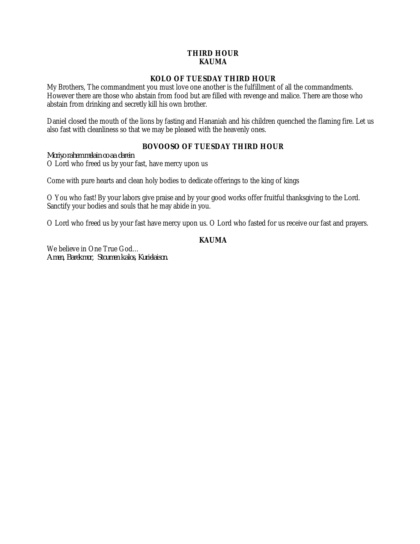# **THIRD HOUR KAUMA**

# **KOLO OF TUESDAY THIRD HOUR**

My Brothers, The commandment you must love one another is the fulfillment of all the commandments. However there are those who abstain from food but are filled with revenge and malice. There are those who abstain from drinking and secretly kill his own brother.

Daniel closed the mouth of the lions by fasting and Hananiah and his children quenched the flaming fire. Let us also fast with cleanliness so that we may be pleased with the heavenly ones.

# **BOVOOSO OF TUESDAY THIRD HOUR**

*Moriyo rahem melain oo aa darein* O Lord who freed us by your fast, have mercy upon us

Come with pure hearts and clean holy bodies to dedicate offerings to the king of kings

O You who fast! By your labors give praise and by your good works offer fruitful thanksgiving to the Lord. Sanctify your bodies and souls that he may abide in you.

O Lord who freed us by your fast have mercy upon us. O Lord who fasted for us receive our fast and prayers.

# **KAUMA**

We believe in One True God… *Amen, Barekmor, Stoumen kalos, Kurielaison.*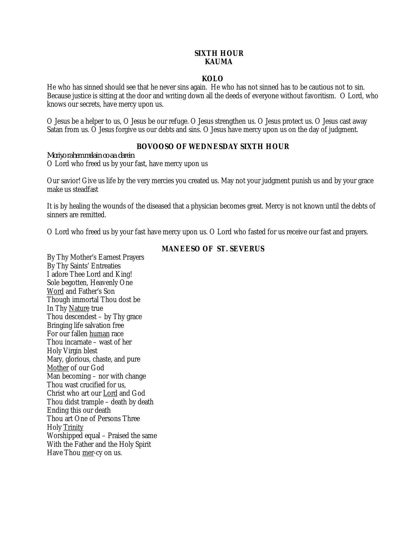# **SIXTH HOUR KAUMA**

# **KOLO**

He who has sinned should see that he never sins again. He who has not sinned has to be cautious not to sin. Because justice is sitting at the door and writing down all the deeds of everyone without favoritism. O Lord, who knows our secrets, have mercy upon us.

O Jesus be a helper to us, O Jesus be our refuge. O Jesus strengthen us. O Jesus protect us. O Jesus cast away Satan from us. O Jesus forgive us our debts and sins. O Jesus have mercy upon us on the day of judgment.

# **BOVOOSO OF WEDNESDAY SIXTH HOUR**

*Moriyo rahem melain oo aa darein* O Lord who freed us by your fast, have mercy upon us

Our savior! Give us life by the very mercies you created us. May not your judgment punish us and by your grace make us steadfast

It is by healing the wounds of the diseased that a physician becomes great. Mercy is not known until the debts of sinners are remitted.

O Lord who freed us by your fast have mercy upon us. O Lord who fasted for us receive our fast and prayers.

# **MANEESO OF ST. SEVERUS**

By Thy Mother's Earnest Prayers By Thy Saints' Entreaties I adore Thee Lord and King! Sole begotten, Heavenly One Word and Father's Son Though immortal Thou dost be In Thy Nature true Thou descendest – by Thy grace Bringing life salvation free For our fallen human race Thou incarnate – wast of her Holy Virgin blest Mary, glorious, chaste, and pure Mother of our God Man becoming – nor with change Thou wast crucified for us, Christ who art our Lord and God Thou didst trample – death by death Ending this our death Thou art One of Persons Three Holy Trinity Worshipped equal – Praised the same With the Father and the Holy Spirit Have Thou mer-cy on us.